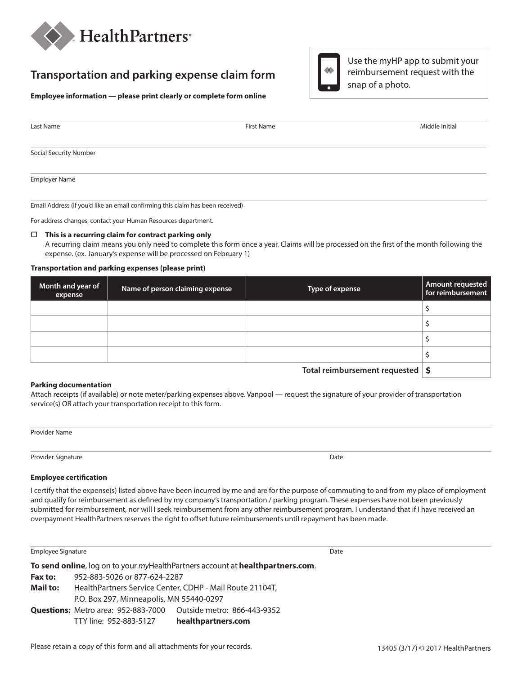

# **Transportation and parking expense claim form**



| $\Leftrightarrow$ | Use the myHP app to submit your |
|-------------------|---------------------------------|
|                   | reimbursement request with the  |
|                   | snap of a photo.                |

| Last Name                     | First Name | Middle Initial |
|-------------------------------|------------|----------------|
| <b>Social Security Number</b> |            |                |
| <b>Employer Name</b>          |            |                |

Email Address (if you'd like an email confirming this claim has been received)

For address changes, contact your Human Resources department.

#### **This is a recurring claim for contract parking only**

A recurring claim means you only need to complete this form once a year. Claims will be processed on the first of the month following the expense. (ex. January's expense will be processed on February 1)

#### **Transportation and parking expenses (please print)**

| Month and year of<br>expense | Name of person claiming expense | Type of expense                                    | Amount requested<br>for reimbursement |
|------------------------------|---------------------------------|----------------------------------------------------|---------------------------------------|
|                              |                                 |                                                    |                                       |
|                              |                                 |                                                    |                                       |
|                              |                                 |                                                    |                                       |
|                              |                                 |                                                    |                                       |
|                              |                                 | Tatal valuelering and anti-valued and $\mathbf{r}$ |                                       |

**Total reimbursement requested \$**

#### **Parking documentation**

Attach receipts (if available) or note meter/parking expenses above. Vanpool — request the signature of your provider of transportation service(s) OR attach your transportation receipt to this form.

Provider Name

Provider Signature Date

#### **Employee certification**

I certify that the expense(s) listed above have been incurred by me and are for the purpose of commuting to and from my place of employment and qualify for reimbursement as defined by my company's transportation / parking program. These expenses have not been previously submitted for reimbursement, nor will I seek reimbursement from any other reimbursement program. I understand that if I have received an overpayment HealthPartners reserves the right to offset future reimbursements until repayment has been made.

Employee Signature **Date** 

**To send online**, log on to your *my*HealthPartners account at **healthpartners.com**. **Fax to:** 952-883-5026 or 877-624-2287 **Mail to:** HealthPartners Service Center, CDHP - Mail Route 21104T, P.O. Box 297, Minneapolis, MN 55440-0297 **Questions:** Metro area: 952-883-7000 Outside metro: 866-443-9352 TTY line: 952-883-5127 **healthpartners.com**

Please retain a copy of this form and all attachments for your records.